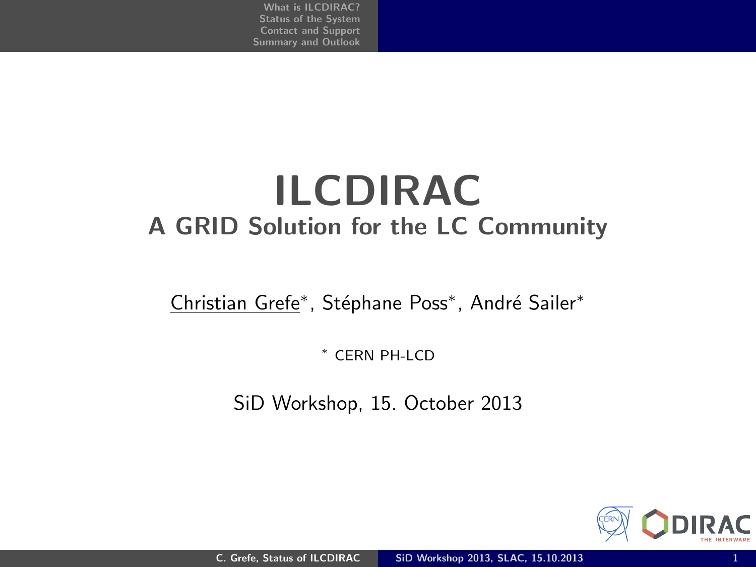## ILCDIRAC A GRID Solution for the LC Community

Christian Grefe<sup>\*</sup>, Stéphane Poss<sup>\*</sup>, André Sailer<sup>\*</sup>

<sup>∗</sup> CERN PH-LCD

SiD Workshop, 15. October 2013

<span id="page-0-0"></span>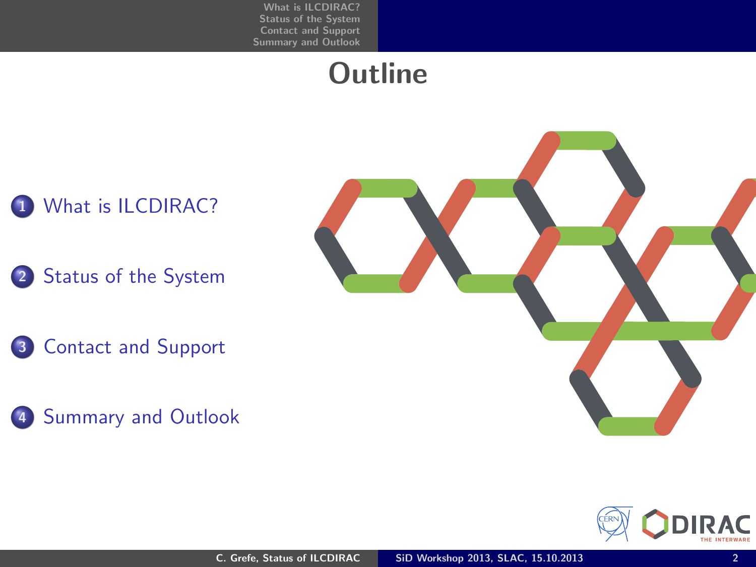## **Outline**

### 1 [What is ILCDIRAC?](#page-2-0)

- 2 [Status of the System](#page-6-0)
- <sup>3</sup> [Contact and Support](#page-12-0)
- 4 [Summary and Outlook](#page-14-0)



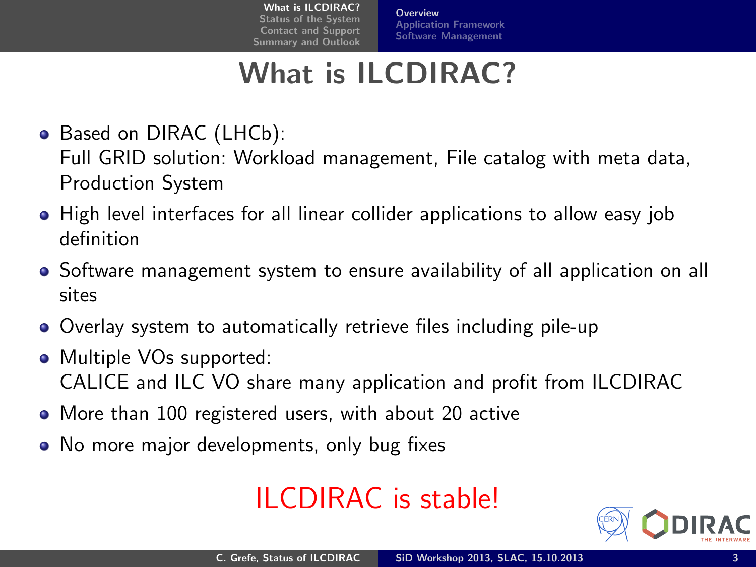**[Overview](#page-2-0)** [Application Framework](#page-3-0) [Software Management](#page-5-0)

## What is ILCDIRAC?

- Based on DIRAC (LHCb): Full GRID solution: Workload management, File catalog with meta data, Production System
- High level interfaces for all linear collider applications to allow easy job definition
- Software management system to ensure availability of all application on all sites
- Overlay system to automatically retrieve files including pile-up
- Multiple VOs supported: CALICE and ILC VO share many application and profit from ILCDIRAC
- More than 100 registered users, with about 20 active
- No more major developments, only bug fixes

## ILCDIRAC is stable!

<span id="page-2-0"></span>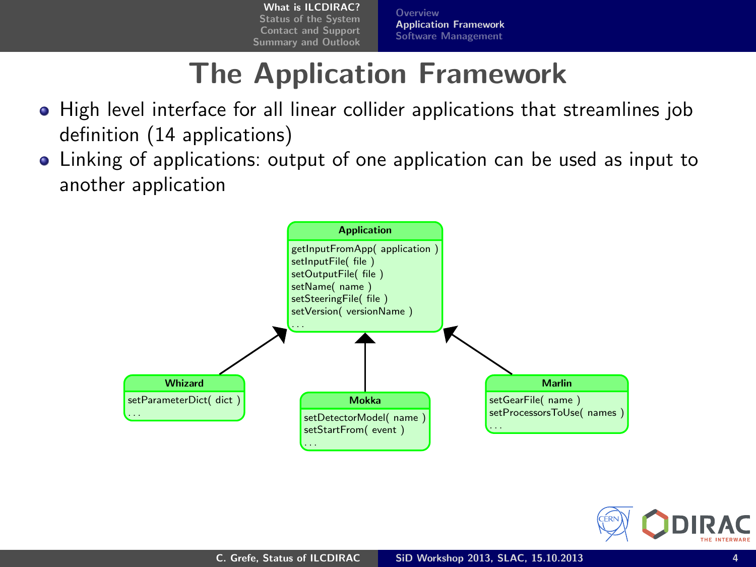**[Overview](#page-2-0)** [Application Framework](#page-4-0) [Software Management](#page-5-0)

## The Application Framework

- High level interface for all linear collider applications that streamlines job definition (14 applications)
- Linking of applications: output of one application can be used as input to another application



<span id="page-3-0"></span>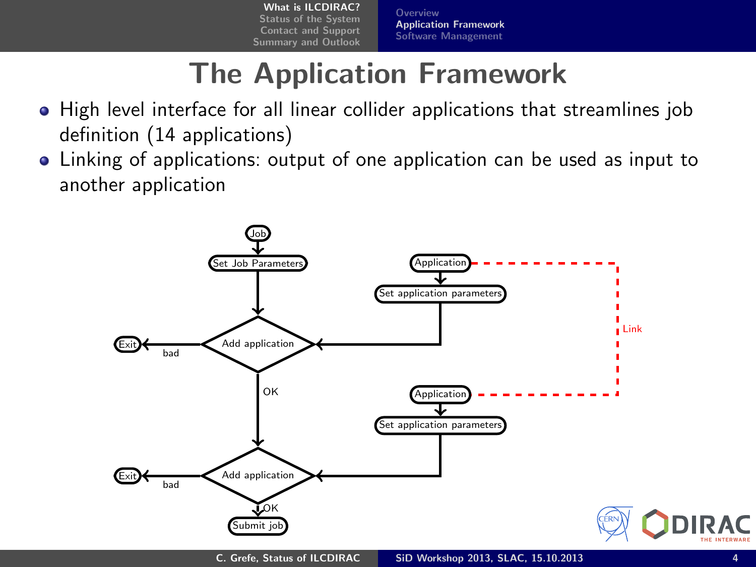<span id="page-4-0"></span>**[Overview](#page-2-0)** [Application Framework](#page-3-0) [Software Management](#page-5-0)

## The Application Framework

- High level interface for all linear collider applications that streamlines job definition (14 applications)
- Linking of applications: output of one application can be used as input to another application

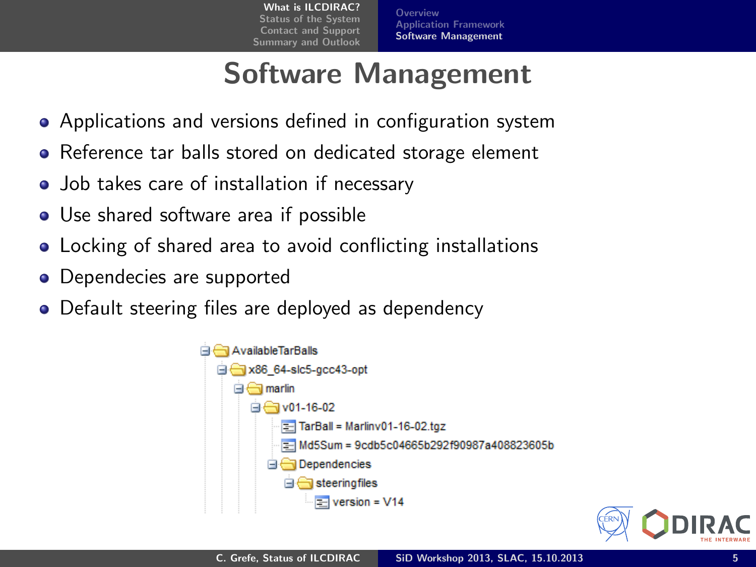**[Overview](#page-2-0)** [Application Framework](#page-3-0) [Software Management](#page-5-0)

## Software Management

- Applications and versions defined in configuration system
- Reference tar balls stored on dedicated storage element
- Job takes care of installation if necessary
- Use shared software area if possible
- Locking of shared area to avoid conflicting installations
- Dependecies are supported
- Default steering files are deployed as dependency



<span id="page-5-0"></span>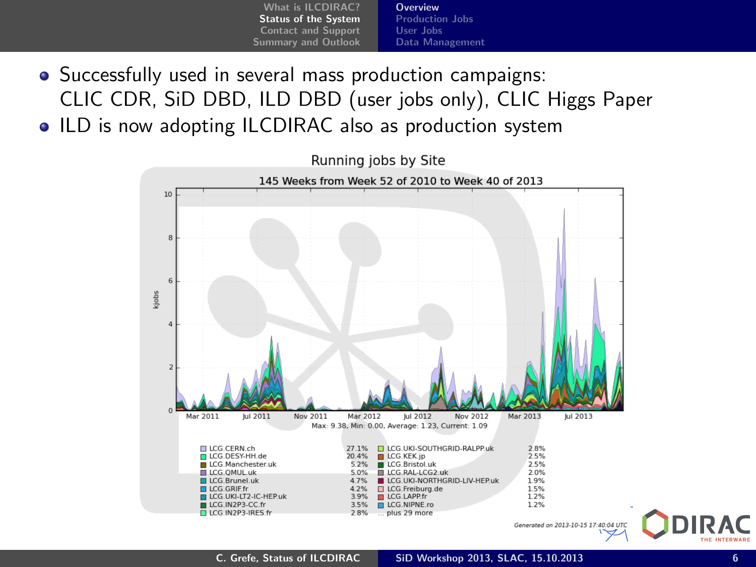- [What is ILCDIRAC?](#page-2-0) [Status of the System](#page-6-0) [Contact and Support](#page-12-0) [Summary and Outlook](#page-14-0) **[Overview](#page-6-0)** [Production Jobs](#page-7-0) [User Jobs](#page-9-0) [Data Management](#page-11-0)
- Successfully used in several mass production campaigns: CLIC CDR, SiD DBD, ILD DBD (user jobs only), CLIC Higgs Paper
- ILD is now adopting ILCDIRAC also as production system



<span id="page-6-0"></span>Generated on 2013-10-15 17:40:04 UTC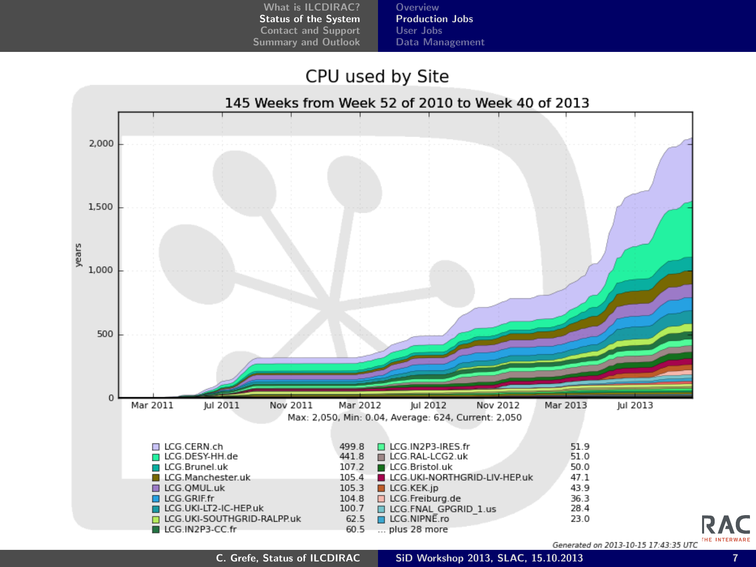[Overview](#page-6-0) [Production Jobs](#page-7-0) [User Jobs](#page-9-0) [Data Management](#page-11-0)

#### CPU used by Site



<span id="page-7-0"></span>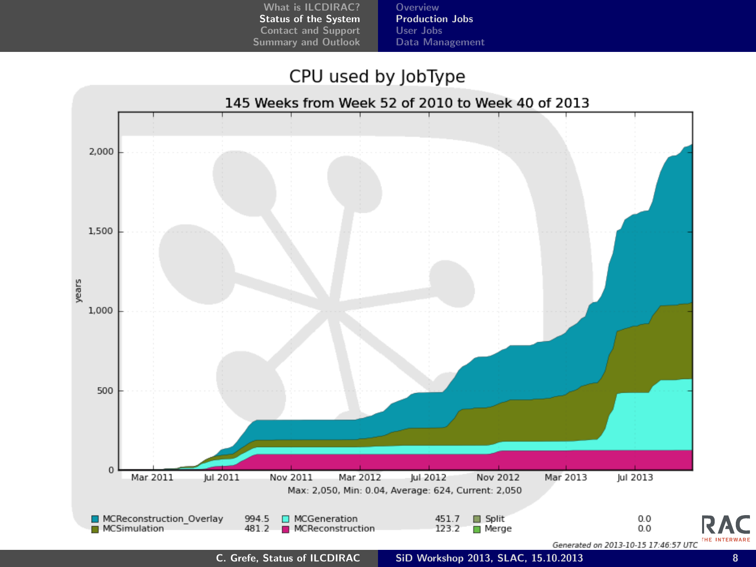[Overview](#page-6-0) [Production Jobs](#page-7-0) [User Jobs](#page-9-0) [Data Management](#page-11-0)

#### CPU used by JobType

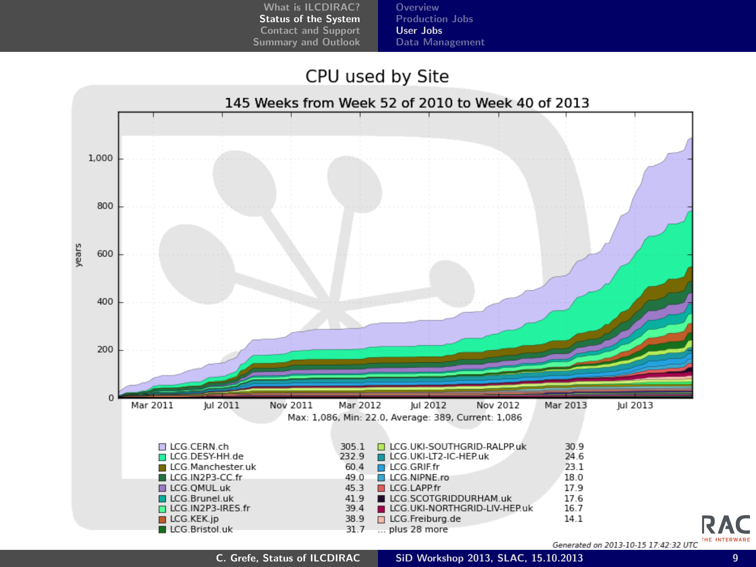[Overview](#page-6-0) [Production Jobs](#page-7-0) [User Jobs](#page-9-0) [Data Management](#page-11-0)

#### CPU used by Site



<span id="page-9-0"></span>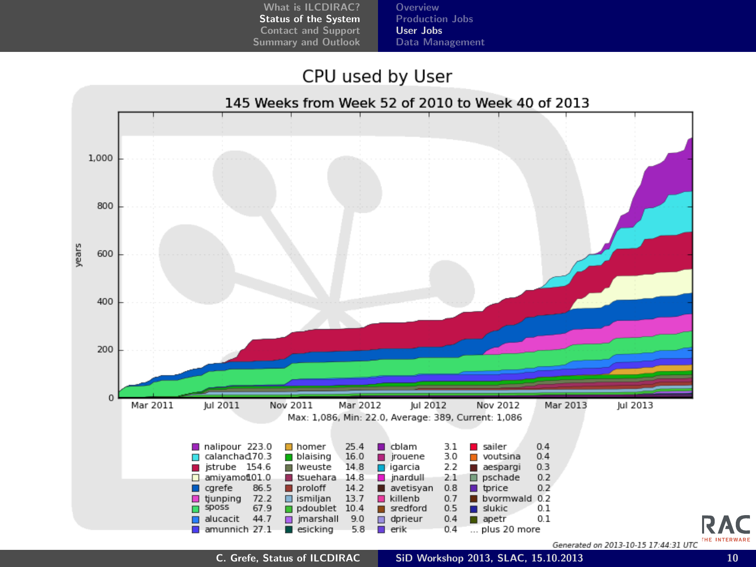[Overview](#page-6-0) [Production Jobs](#page-7-0) [User Jobs](#page-9-0) [Data Management](#page-11-0)

#### CPU used by User



C. Grefe, [Status of ILCDIRAC](#page-0-0) SiD Workshop 2013, SLAC, 15.10.2013 10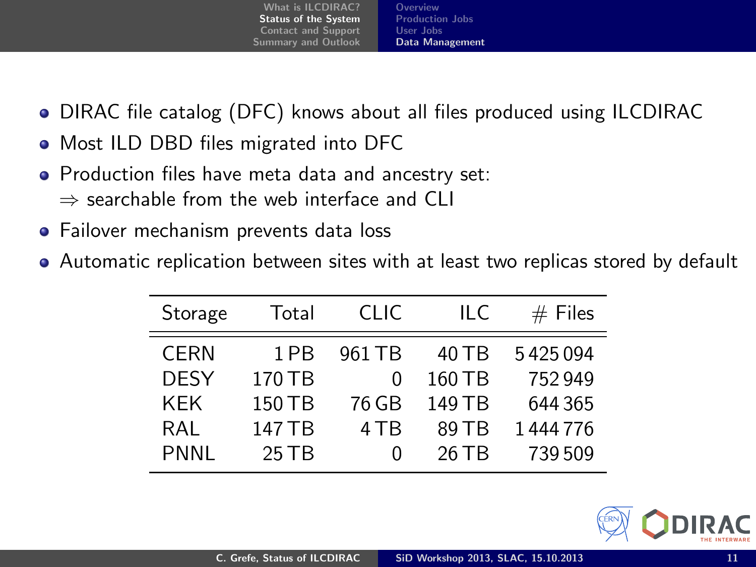[What is ILCDIRAC?](#page-2-0) [Status of the System](#page-6-0) [Contact and Support](#page-12-0) [Summary and Outlook](#page-14-0) [Overview](#page-6-0) [Production Jobs](#page-7-0) [User Jobs](#page-9-0) [Data Management](#page-11-0)

- DIRAC file catalog (DFC) knows about all files produced using ILCDIRAC
- Most ILD DBD files migrated into DFC
- Production files have meta data and ancestry set:  $\Rightarrow$  searchable from the web interface and CLI
- Failover mechanism prevents data loss
- Automatic replication between sites with at least two replicas stored by default

| Storage     | Total   | CHC.             | IL C   | $#$ Files |
|-------------|---------|------------------|--------|-----------|
| <b>CERN</b> | 1 PB    | 961 TB           | 40 TB  | 5425094   |
| <b>DESY</b> | 170 TB  | 0                | 160 TB | 752949    |
| <b>KEK</b>  | 150 TB  | 76 GB            | 149 TB | 644 365   |
| RAL         | 147 TB  | 4 T <sub>R</sub> | 89 T B | 1444776   |
| PNNL        | $25$ TB | $\mathbf{0}$     | 26 TB  | 739509    |

<span id="page-11-0"></span>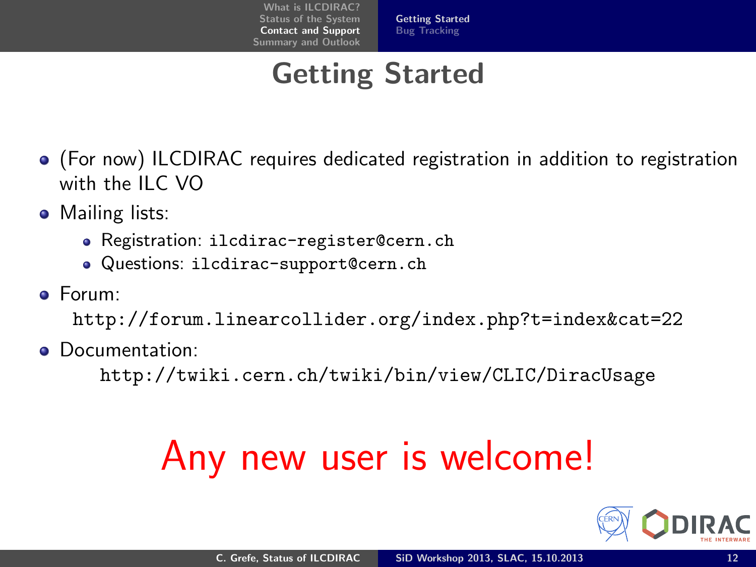## Getting Started

- (For now) ILCDIRAC requires dedicated registration in addition to registration with the ILC VO
- **•** Mailing lists:
	- Registration: ilcdirac-register@cern.ch
	- Questions: ilcdirac-support@cern.ch
- Forum:

<http://forum.linearcollider.org/index.php?t=index&cat=22>

Documentation:

<http://twiki.cern.ch/twiki/bin/view/CLIC/DiracUsage>

# Any new user is welcome!

<span id="page-12-0"></span>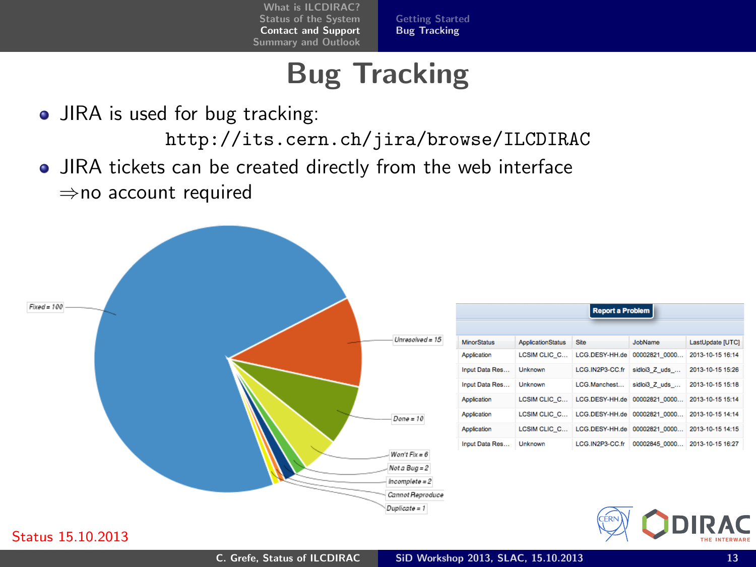<span id="page-13-0"></span>[Getting Started](#page-12-0) [Bug Tracking](#page-13-0)

## Bug Tracking

• JIRA is used for bug tracking:

<http://its.cern.ch/jira/browse/ILCDIRAC>

JIRA tickets can be created directly from the web interface ⇒no account required



#### Status 15.10.2013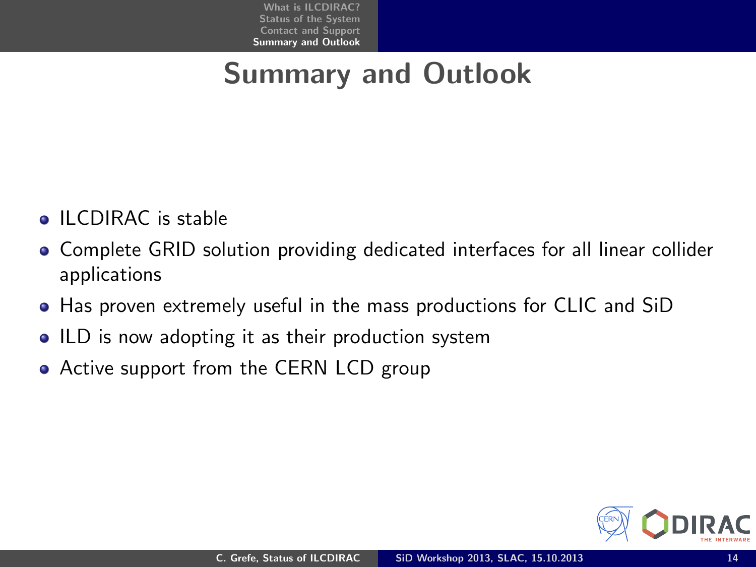## Summary and Outlook

- **ILCDIRAC** is stable
- Complete GRID solution providing dedicated interfaces for all linear collider applications
- Has proven extremely useful in the mass productions for CLIC and SiD
- ILD is now adopting it as their production system
- Active support from the CERN LCD group

<span id="page-14-0"></span>